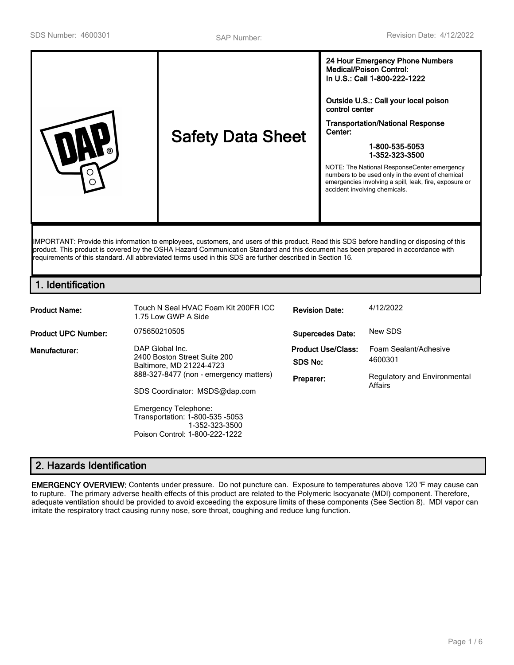| <b>Safety Data Sheet</b><br>ര<br>( ) | 24 Hour Emergency Phone Numbers<br><b>Medical/Poison Control:</b><br>In U.S.: Call 1-800-222-1222<br>Outside U.S.: Call your local poison<br>control center<br><b>Transportation/National Response</b><br>Center:<br>1-800-535-5053<br>1-352-323-3500<br>NOTE: The National ResponseCenter emergency<br>numbers to be used only in the event of chemical<br>emergencies involving a spill, leak, fire, exposure or<br>accident involving chemicals. |
|--------------------------------------|-----------------------------------------------------------------------------------------------------------------------------------------------------------------------------------------------------------------------------------------------------------------------------------------------------------------------------------------------------------------------------------------------------------------------------------------------------|
|--------------------------------------|-----------------------------------------------------------------------------------------------------------------------------------------------------------------------------------------------------------------------------------------------------------------------------------------------------------------------------------------------------------------------------------------------------------------------------------------------------|

IMPORTANT: Provide this information to employees, customers, and users of this product. Read this SDS before handling or disposing of this product. This product is covered by the OSHA Hazard Communication Standard and this document has been prepared in accordance with requirements of this standard. All abbreviated terms used in this SDS are further described in Section 16.

# **1. Identification**

| <b>Product Name:</b>       | Touch N Seal HVAC Foam Kit 200FR ICC<br>1.75 Low GWP A Side                                                                                                                                                                                                                  | <b>Revision Date:</b>                             | 4/12/2022                                                                   |
|----------------------------|------------------------------------------------------------------------------------------------------------------------------------------------------------------------------------------------------------------------------------------------------------------------------|---------------------------------------------------|-----------------------------------------------------------------------------|
| <b>Product UPC Number:</b> | 075650210505                                                                                                                                                                                                                                                                 | <b>Supercedes Date:</b>                           | New SDS                                                                     |
| Manufacturer:              | DAP Global Inc.<br>2400 Boston Street Suite 200<br>Baltimore, MD 21224-4723<br>888-327-8477 (non - emergency matters)<br>SDS Coordinator: MSDS@dap.com<br><b>Emergency Telephone:</b><br>Transportation: 1-800-535 -5053<br>1-352-323-3500<br>Poison Control: 1-800-222-1222 | <b>Product Use/Class:</b><br>SDS No:<br>Preparer: | Foam Sealant/Adhesive<br>4600301<br>Regulatory and Environmental<br>Affairs |

# **2. Hazards Identification**

**EMERGENCY OVERVIEW:** Contents under pressure. Do not puncture can. Exposure to temperatures above 120 'F may cause can to rupture. The primary adverse health effects of this product are related to the Polymeric Isocyanate (MDI) component. Therefore, adequate ventilation should be provided to avoid exceeding the exposure limits of these components (See Section 8). MDI vapor can irritate the respiratory tract causing runny nose, sore throat, coughing and reduce lung function.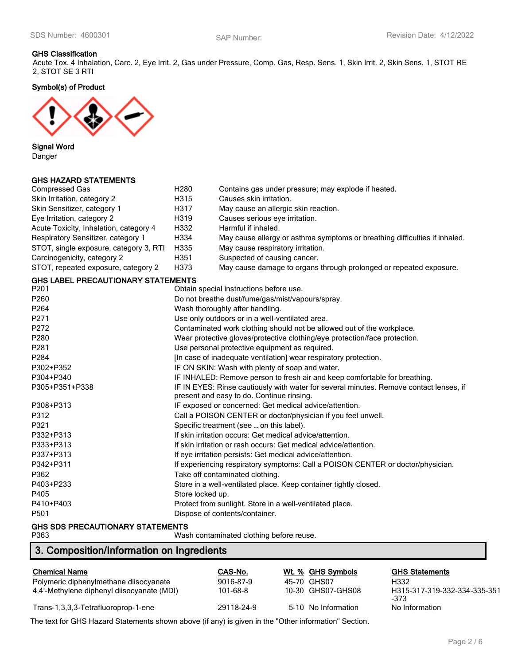#### **GHS Classification**

Acute Tox. 4 Inhalation, Carc. 2, Eye Irrit. 2, Gas under Pressure, Comp. Gas, Resp. Sens. 1, Skin Irrit. 2, Skin Sens. 1, STOT RE 2, STOT SE 3 RTI

**Symbol(s) of Product**



**Signal Word**

Danger

### **GHS HAZARD STATEMENTS**

| <b>Compressed Gas</b>                     | H <sub>280</sub>                                                                | Contains gas under pressure; may explode if heated.                                    |  |  |
|-------------------------------------------|---------------------------------------------------------------------------------|----------------------------------------------------------------------------------------|--|--|
| Skin Irritation, category 2               | H315                                                                            | Causes skin irritation.                                                                |  |  |
| Skin Sensitizer, category 1               | H317                                                                            | May cause an allergic skin reaction.                                                   |  |  |
| Eye Irritation, category 2                | H319                                                                            | Causes serious eye irritation.                                                         |  |  |
| Acute Toxicity, Inhalation, category 4    | H332                                                                            | Harmful if inhaled.                                                                    |  |  |
| Respiratory Sensitizer, category 1        | H334                                                                            | May cause allergy or asthma symptoms or breathing difficulties if inhaled.             |  |  |
| STOT, single exposure, category 3, RTI    | H335                                                                            | May cause respiratory irritation.                                                      |  |  |
| Carcinogenicity, category 2               | H351                                                                            | Suspected of causing cancer.                                                           |  |  |
| STOT, repeated exposure, category 2       | H373                                                                            | May cause damage to organs through prolonged or repeated exposure.                     |  |  |
| <b>GHS LABEL PRECAUTIONARY STATEMENTS</b> |                                                                                 |                                                                                        |  |  |
| P201                                      |                                                                                 | Obtain special instructions before use.                                                |  |  |
| P260                                      |                                                                                 | Do not breathe dust/fume/gas/mist/vapours/spray.                                       |  |  |
| P264                                      |                                                                                 | Wash thoroughly after handling.                                                        |  |  |
| P271                                      |                                                                                 | Use only outdoors or in a well-ventilated area.                                        |  |  |
| P272                                      |                                                                                 | Contaminated work clothing should not be allowed out of the workplace.                 |  |  |
| P280                                      |                                                                                 | Wear protective gloves/protective clothing/eye protection/face protection.             |  |  |
| P281                                      | Use personal protective equipment as required.                                  |                                                                                        |  |  |
| P284                                      | [In case of inadequate ventilation] wear respiratory protection.                |                                                                                        |  |  |
| P302+P352                                 | IF ON SKIN: Wash with plenty of soap and water.                                 |                                                                                        |  |  |
| P304+P340                                 |                                                                                 | IF INHALED: Remove person to fresh air and keep comfortable for breathing.             |  |  |
| P305+P351+P338                            |                                                                                 | IF IN EYES: Rinse cautiously with water for several minutes. Remove contact lenses, if |  |  |
|                                           |                                                                                 | present and easy to do. Continue rinsing.                                              |  |  |
| P308+P313                                 |                                                                                 | IF exposed or concerned: Get medical advice/attention.                                 |  |  |
| P312                                      |                                                                                 | Call a POISON CENTER or doctor/physician if you feel unwell.                           |  |  |
| P321                                      |                                                                                 | Specific treatment (see  on this label).                                               |  |  |
| P332+P313                                 |                                                                                 | If skin irritation occurs: Get medical advice/attention.                               |  |  |
| P333+P313                                 | If skin irritation or rash occurs: Get medical advice/attention.                |                                                                                        |  |  |
| P337+P313                                 | If eye irritation persists: Get medical advice/attention.                       |                                                                                        |  |  |
| P342+P311                                 | If experiencing respiratory symptoms: Call a POISON CENTER or doctor/physician. |                                                                                        |  |  |
| P362                                      | Take off contaminated clothing.                                                 |                                                                                        |  |  |
| P403+P233                                 | Store in a well-ventilated place. Keep container tightly closed.                |                                                                                        |  |  |
| P405                                      | Store locked up.                                                                |                                                                                        |  |  |
| P410+P403                                 | Protect from sunlight. Store in a well-ventilated place.                        |                                                                                        |  |  |
| P501                                      |                                                                                 | Dispose of contents/container.                                                         |  |  |
|                                           |                                                                                 |                                                                                        |  |  |

# **GHS SDS PRECAUTIONARY STATEMENTS**

Wash contaminated clothing before reuse.

# **3. Composition/Information on Ingredients**

| <b>Chemical Name</b>                       | CAS-No.    | Wt. % GHS Symbols   | <b>GHS Statements</b>                |
|--------------------------------------------|------------|---------------------|--------------------------------------|
| Polymeric diphenylmethane diisocyanate     | 9016-87-9  | 45-70 GHS07         | H332                                 |
| 4,4'-Methylene diphenyl diisocyanate (MDI) | 101-68-8   | 10-30 GHS07-GHS08   | H315-317-319-332-334-335-351<br>-373 |
| Trans-1,3,3,3-Tetrafluoroprop-1-ene        | 29118-24-9 | 5-10 No Information | No Information                       |

The text for GHS Hazard Statements shown above (if any) is given in the "Other information" Section.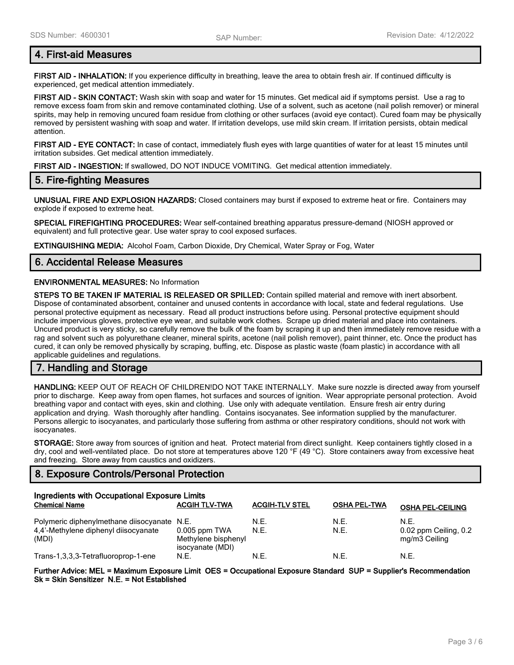# **4. First-aid Measures**

**FIRST AID - INHALATION:** If you experience difficulty in breathing, leave the area to obtain fresh air. If continued difficulty is experienced, get medical attention immediately.

**FIRST AID - SKIN CONTACT:** Wash skin with soap and water for 15 minutes. Get medical aid if symptoms persist. Use a rag to remove excess foam from skin and remove contaminated clothing. Use of a solvent, such as acetone (nail polish remover) or mineral spirits, may help in removing uncured foam residue from clothing or other surfaces (avoid eye contact). Cured foam may be physically removed by persistent washing with soap and water. If irritation develops, use mild skin cream. If irritation persists, obtain medical attention.

**FIRST AID - EYE CONTACT:** In case of contact, immediately flush eyes with large quantities of water for at least 15 minutes until irritation subsides. Get medical attention immediately.

**FIRST AID - INGESTION:** If swallowed, DO NOT INDUCE VOMITING. Get medical attention immediately.

### **5. Fire-fighting Measures**

**UNUSUAL FIRE AND EXPLOSION HAZARDS:** Closed containers may burst if exposed to extreme heat or fire. Containers may explode if exposed to extreme heat.

**SPECIAL FIREFIGHTING PROCEDURES:** Wear self-contained breathing apparatus pressure-demand (NIOSH approved or equivalent) and full protective gear. Use water spray to cool exposed surfaces.

**EXTINGUISHING MEDIA:** Alcohol Foam, Carbon Dioxide, Dry Chemical, Water Spray or Fog, Water

### **6. Accidental Release Measures**

#### **ENVIRONMENTAL MEASURES:** No Information

**STEPS TO BE TAKEN IF MATERIAL IS RELEASED OR SPILLED:** Contain spilled material and remove with inert absorbent. Dispose of contaminated absorbent, container and unused contents in accordance with local, state and federal regulations. Use personal protective equipment as necessary. Read all product instructions before using. Personal protective equipment should include impervious gloves, protective eye wear, and suitable work clothes. Scrape up dried material and place into containers. Uncured product is very sticky, so carefully remove the bulk of the foam by scraping it up and then immediately remove residue with a rag and solvent such as polyurethane cleaner, mineral spirits, acetone (nail polish remover), paint thinner, etc. Once the product has cured, it can only be removed physically by scraping, buffing, etc. Dispose as plastic waste (foam plastic) in accordance with all applicable guidelines and regulations.

# **7. Handling and Storage**

**HANDLING:** KEEP OUT OF REACH OF CHILDREN!DO NOT TAKE INTERNALLY. Make sure nozzle is directed away from yourself prior to discharge. Keep away from open flames, hot surfaces and sources of ignition. Wear appropriate personal protection. Avoid breathing vapor and contact with eyes, skin and clothing. Use only with adequate ventilation. Ensure fresh air entry during application and drying. Wash thoroughly after handling. Contains isocyanates. See information supplied by the manufacturer. Persons allergic to isocyanates, and particularly those suffering from asthma or other respiratory conditions, should not work with isocyanates.

**STORAGE:** Store away from sources of ignition and heat. Protect material from direct sunlight. Keep containers tightly closed in a dry, cool and well-ventilated place. Do not store at temperatures above 120 °F (49 °C). Store containers away from excessive heat and freezing. Store away from caustics and oxidizers.

# **8. Exposure Controls/Personal Protection**

| Ingredients with Occupational Exposure Limits                                       |                                         |                       |                     |                               |
|-------------------------------------------------------------------------------------|-----------------------------------------|-----------------------|---------------------|-------------------------------|
| <b>Chemical Name</b>                                                                | <b>ACGIH TLV-TWA</b>                    | <b>ACGIH-TLV STEL</b> | <b>OSHA PEL-TWA</b> | <b>OSHA PEL-CEILING</b>       |
| Polymeric diphenylmethane diisocyanate N.E.<br>4,4'-Methylene diphenyl diisocyanate | $0.005$ ppm TWA                         | N.E.<br>N.E.          | N.E.<br>N.E.        | N.F.<br>0.02 ppm Ceiling, 0.2 |
| (MDI)                                                                               | Methylene bisphenyl<br>isocyanate (MDI) |                       |                     | mg/m3 Ceiling                 |
| Trans-1,3,3,3-Tetrafluoroprop-1-ene                                                 | N.E.                                    | N.E.                  | N.E.                | N.E.                          |

**Further Advice: MEL = Maximum Exposure Limit OES = Occupational Exposure Standard SUP = Supplier's Recommendation Sk = Skin Sensitizer N.E. = Not Established**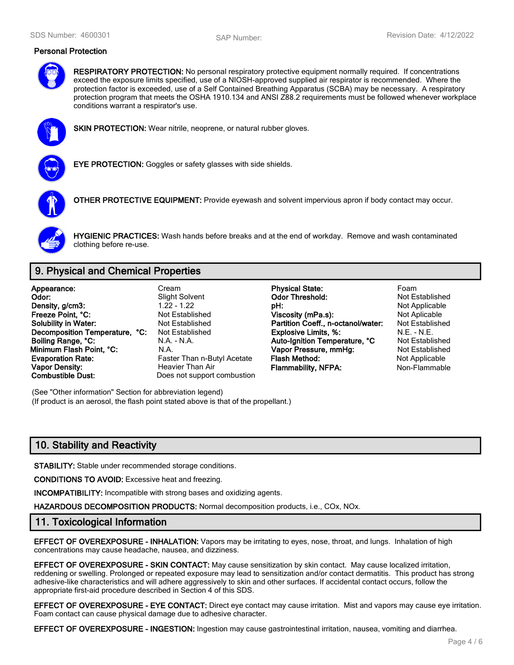#### **Personal Protection**



**RESPIRATORY PROTECTION:** No personal respiratory protective equipment normally required. If concentrations exceed the exposure limits specified, use of a NIOSH-approved supplied air respirator is recommended. Where the protection factor is exceeded, use of a Self Contained Breathing Apparatus (SCBA) may be necessary. A respiratory protection program that meets the OSHA 1910.134 and ANSI Z88.2 requirements must be followed whenever workplace conditions warrant a respirator's use.



**SKIN PROTECTION:** Wear nitrile, neoprene, or natural rubber gloves.



**EYE PROTECTION:** Goggles or safety glasses with side shields.



**OTHER PROTECTIVE EQUIPMENT:** Provide eyewash and solvent impervious apron if body contact may occur.



**HYGIENIC PRACTICES:** Wash hands before breaks and at the end of workday. Remove and wash contaminated clothing before re-use.

# **9. Physical and Chemical Properties**

**Appearance:** Cream **Physical State:** Foam **Vapor Density: Heavier Than Air Flammability, NFPA:** Non-Flammable **Combustible Dust:** Does not support combustion

Does not support combustion

**Odor:** Slight Solvent **Odor Threshold:** Not Established<br> **Density, a/cm3:** Computer of the Contract of the Contract of the Contract of the Not Applicable **Density, g/cm3:** 1.22 - 1.22 **pH: pH:** Not Applicable **Freeze Point, °C: Not Established Viscosity (mPa.s):** Not Aplicable Mot Aplicable **Solubility in Water:** Not Established **Solubility in Water:** Not Established **Solubility in Water:** Not Established **Partition Coeff., n-octanol/water: Decomposition Temperature, °C:** Not Established **Explosive Limits, %:** M.E. - N.E. - N.E. - N.E. - N.E. - N.E. - N.E. - N.E. - N.E. - N.E. - N.E. - N.E. - N.E. - N.E. - N.E. - N.A. - N.A. - N.A. - N.A. - N.A. - N.A. - Aut **Boiling Range, °C:** N.A. - N.A. **Auto-Ignition Temperature, °C** Not Established **Minimum Flash Point, °C:** N.A. **Vapor Pressure, mmHg:** Not Established **Evaporation Rate:** Faster Than n-Butyl Acetate **Flash Method:** Not Applicable **Not Applicable** 

(See "Other information" Section for abbreviation legend) (If product is an aerosol, the flash point stated above is that of the propellant.)

# **10. Stability and Reactivity**

**STABILITY:** Stable under recommended storage conditions.

**CONDITIONS TO AVOID:** Excessive heat and freezing.

**INCOMPATIBILITY:** Incompatible with strong bases and oxidizing agents.

**HAZARDOUS DECOMPOSITION PRODUCTS:** Normal decomposition products, i.e., COx, NOx.

### **11. Toxicological Information**

**EFFECT OF OVEREXPOSURE - INHALATION:** Vapors may be irritating to eyes, nose, throat, and lungs. Inhalation of high concentrations may cause headache, nausea, and dizziness.

**EFFECT OF OVEREXPOSURE - SKIN CONTACT:** May cause sensitization by skin contact. May cause localized irritation, reddening or swelling. Prolonged or repeated exposure may lead to sensitization and/or contact dermatitis. This product has strong adhesive-like characteristics and will adhere aggressively to skin and other surfaces. If accidental contact occurs, follow the appropriate first-aid procedure described in Section 4 of this SDS.

**EFFECT OF OVEREXPOSURE - EYE CONTACT:** Direct eye contact may cause irritation. Mist and vapors may cause eye irritation. Foam contact can cause physical damage due to adhesive character.

**EFFECT OF OVEREXPOSURE - INGESTION:** Ingestion may cause gastrointestinal irritation, nausea, vomiting and diarrhea.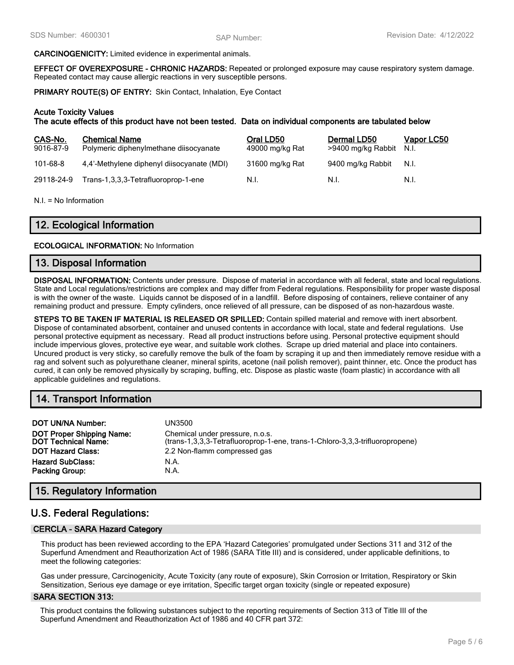#### **CARCINOGENICITY:** Limited evidence in experimental animals.

**EFFECT OF OVEREXPOSURE - CHRONIC HAZARDS:** Repeated or prolonged exposure may cause respiratory system damage. Repeated contact may cause allergic reactions in very susceptible persons.

**PRIMARY ROUTE(S) OF ENTRY:** Skin Contact, Inhalation, Eye Contact

#### **Acute Toxicity Values**

**The acute effects of this product have not been tested. Data on individual components are tabulated below**

| CAS-No.<br>9016-87-9 | <b>Chemical Name</b><br>Polymeric diphenylmethane diisocyanate | Oral LD50<br>49000 mg/kg Rat | Dermal LD50<br>>9400 mg/kg Rabbit | Vapor LC50<br>N.I. |
|----------------------|----------------------------------------------------------------|------------------------------|-----------------------------------|--------------------|
| 101-68-8             | 4.4'-Methylene diphenyl diisocyanate (MDI)                     | 31600 mg/kg Rat              | 9400 mg/kg Rabbit                 | N.I.               |
| 29118-24-9           | Trans-1,3,3,3-Tetrafluoroprop-1-ene                            | N.I.                         | N.L                               | N.I.               |

N.I. = No Information

# **12. Ecological Information**

#### **ECOLOGICAL INFORMATION:** No Information

#### **13. Disposal Information**

**DISPOSAL INFORMATION:** Contents under pressure. Dispose of material in accordance with all federal, state and local regulations. State and Local regulations/restrictions are complex and may differ from Federal regulations. Responsibility for proper waste disposal is with the owner of the waste. Liquids cannot be disposed of in a landfill. Before disposing of containers, relieve container of any remaining product and pressure. Empty cylinders, once relieved of all pressure, can be disposed of as non-hazardous waste.

**STEPS TO BE TAKEN IF MATERIAL IS RELEASED OR SPILLED:** Contain spilled material and remove with inert absorbent. Dispose of contaminated absorbent, container and unused contents in accordance with local, state and federal regulations. Use personal protective equipment as necessary. Read all product instructions before using. Personal protective equipment should include impervious gloves, protective eye wear, and suitable work clothes. Scrape up dried material and place into containers. Uncured product is very sticky, so carefully remove the bulk of the foam by scraping it up and then immediately remove residue with a rag and solvent such as polyurethane cleaner, mineral spirits, acetone (nail polish remover), paint thinner, etc. Once the product has cured, it can only be removed physically by scraping, buffing, etc. Dispose as plastic waste (foam plastic) in accordance with all applicable guidelines and regulations.

# **14. Transport Information**

| <b>DOT UN/NA Number:</b>                                       | UN3500                                                                                                          |
|----------------------------------------------------------------|-----------------------------------------------------------------------------------------------------------------|
| <b>DOT Proper Shipping Name:</b><br><b>DOT Technical Name:</b> | Chemical under pressure, n.o.s.<br>(trans-1,3,3,3-Tetrafluoroprop-1-ene, trans-1-Chloro-3,3,3-trifluoropropene) |
| <b>DOT Hazard Class:</b>                                       | 2.2 Non-flamm compressed gas                                                                                    |
| <b>Hazard SubClass:</b>                                        | N.A.                                                                                                            |
| <b>Packing Group:</b>                                          | N.A.                                                                                                            |

# **15. Regulatory Information**

# **U.S. Federal Regulations:**

#### **CERCLA - SARA Hazard Category**

This product has been reviewed according to the EPA 'Hazard Categories' promulgated under Sections 311 and 312 of the Superfund Amendment and Reauthorization Act of 1986 (SARA Title III) and is considered, under applicable definitions, to meet the following categories:

Gas under pressure, Carcinogenicity, Acute Toxicity (any route of exposure), Skin Corrosion or Irritation, Respiratory or Skin Sensitization, Serious eye damage or eye irritation, Specific target organ toxicity (single or repeated exposure)

#### **SARA SECTION 313:**

This product contains the following substances subject to the reporting requirements of Section 313 of Title III of the Superfund Amendment and Reauthorization Act of 1986 and 40 CFR part 372: